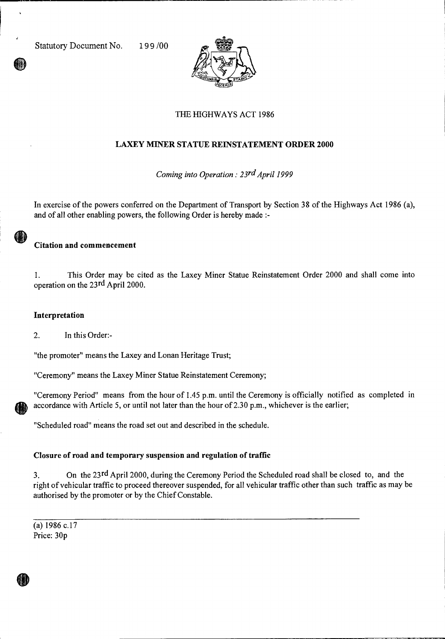Statutory Document No. 199/00



# THE HIGHWAYS ACT 1986

# **LAXEY MINER STATUE REINSTATEMENT ORDER 2000**

*Coming into Operation : 23rd April 1999* 

In exercise of the powers conferred on the Department of Transport by Section 38 of the Highways Act 1986 (a), and of all other enabling powers, the following Order is hereby made :-

## **Citation and commencement**

1. This Order may be cited as the Laxey Miner Statue Reinstatement Order 2000 and shall come into operation on the 23rd April 2000.

### **Interpretation**

2. In this Order:-

"the promoter" means the Laxey and Lonan Heritage Trust;

"Ceremony" means the Laxey Miner Statue Reinstatement Ceremony;

"Ceremony Period" means from the hour of 1.45 p.m. until the Ceremony is officially notified as completed in accordance with Article 5, or until not later than the hour of 2.30 p.m., whichever is the earlier;

"Scheduled road" means the road set out and described in the schedule.

#### **Closure of road and temporary suspension and regulation of traffic**

3. On the 23rd April 2000, during the Ceremony Period the Scheduled road shall be closed to, and the right of vehicular traffic to proceed thereover suspended, for all vehicular traffic other than such traffic as may be authorised by the promoter or by the Chief Constable.

(a) 1986 c.17 Price: 30p